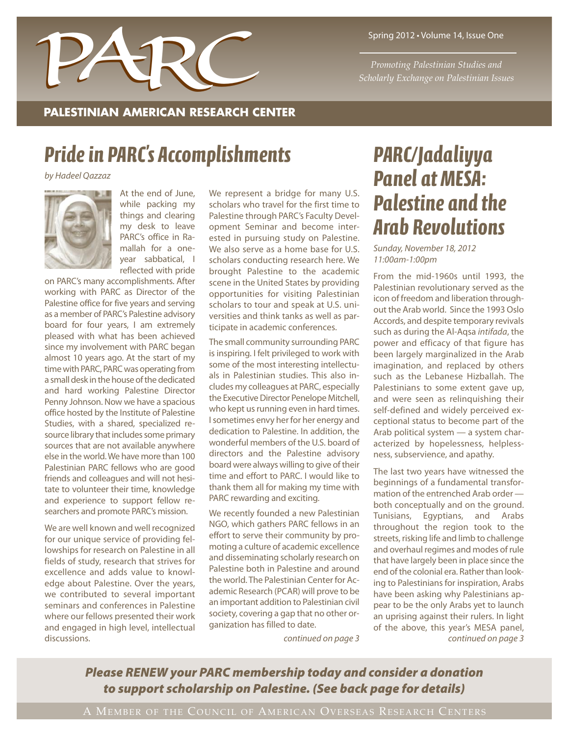

Spring 2012 • Volume 14, Issue One

*Promoting Palestinian Studies and*

#### **PALESTINIAN AMERICAN RESEARCH CENTER**

## *Pridein PARC' s Accomplishments*

*by Hadeel Qazzaz*



At the end of June, while packing my things and clearing my desk to leave PARC's office in Ramallah for a oneyear sabbatical, I reflected with pride

on PARC's many accomplishments. After working with PARC as Director of the Palestine office for five years and serving as a member of PARC's Palestine advisory board for four years, I am extremely pleased with what has been achieved since my involvement with PARC began almost 10 years ago. At the start of my time with PARC, PARC was operating from a small desk in the house of the dedicated and hard working Palestine Director Penny Johnson. Now we have a spacious office hosted by the Institute of Palestine Studies, with a shared, specialized resource library that includes some primary sources that are not available anywhere else in the world.We have more than 100 Palestinian PARC fellows who are good friends and colleagues and will not hesitate to volunteer their time, knowledge and experience to support fellow researchers and promote PARC's mission.

We are well known and well recognized for our unique service of providing fellowships for research on Palestine in all fields of study, research that strives for excellence and adds value to knowledge about Palestine. Over the years, we contributed to several important seminars and conferences in Palestine where our fellows presented their work and engaged in high level, intellectual discussions.

We represent a bridge for many U.S. scholars who travel for the first time to Palestine through PARC's Faculty Development Seminar and become interested in pursuing study on Palestine. We also serve as a home base for U.S. scholars conducting research here. We brought Palestine to the academic scene in the United States by providing opportunities for visiting Palestinian scholars to tour and speak at U.S. universities and think tanks as well as participate in academic conferences.

The small community surrounding PARC is inspiring. I felt privileged to work with some of the most interesting intellectuals in Palestinian studies. This also includes my colleagues at PARC, especially the Executive Director Penelope Mitchell, who kept us running even in hard times. Isometimes envy her for her energy and dedication to Palestine. In addition, the wonderful members of the U.S. board of directors and the Palestine advisory board were always willing to give of their time and effort to PARC. I would like to thank them all for making my time with PARC rewarding and exciting.

We recently founded a new Palestinian NGO, which gathers PARC fellows in an effort to serve their community by promoting a culture of academic excellence and disseminating scholarly research on Palestine both in Palestine and around the world. The Palestinian Center for Academic Research (PCAR) will prove to be an important addition to Palestinian civil society, covering a gap that no other organization has filled to date.

## *PARC/Jadaliyya Panel atMESA: Palestine and the Arab Revolutions*

*Sunday, November 18, 2012 11:00am-1:00pm*

From the mid-1960s until 1993, the Palestinian revolutionary served as the icon of freedom and liberation throughout the Arab world. Since the 1993 Oslo Accords, and despite temporary revivals such as during the Al-Aqsa *intifada*, the power and efficacy of that figure has been largely marginalized in the Arab imagination, and replaced by others such as the Lebanese Hizballah. The Palestinians to some extent gave up, and were seen as relinquishing their self-defined and widely perceived exceptional status to become part of the Arab political system — a system characterized by hopelessness, helplessness, subservience, and apathy.

*continued on page 3 continued on page 3* The last two years have witnessed the beginnings of a fundamental transformation of the entrenched Arab order both conceptually and on the ground. Tunisians, Egyptians, and Arabs throughout the region took to the streets, risking life and limb to challenge and overhaul regimes and modes of rule that have largely been in place since the end of the colonial era. Rather than looking to Palestinians for inspiration, Arabs have been asking why Palestinians appear to be the only Arabs yet to launch an uprising against their rulers. In light of the above, this year's MESA panel,

*Please RENEW your PARC membership today and consider a donation to support scholarship on Palestine. (See back page for details)*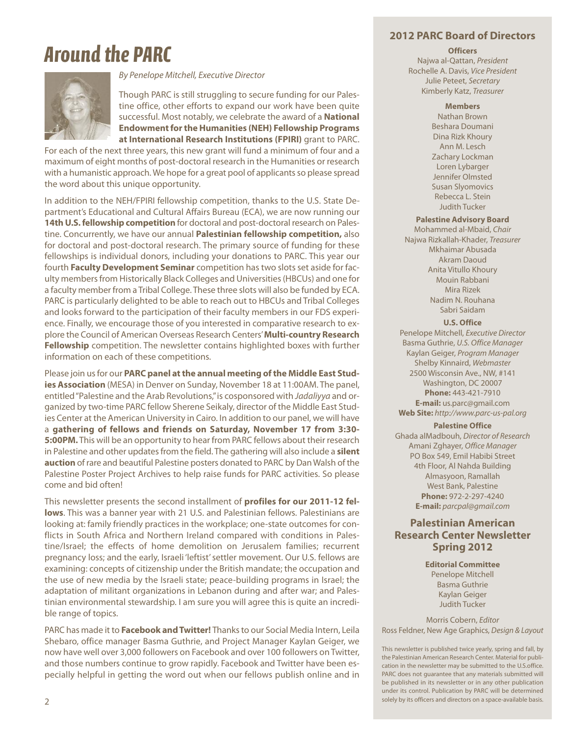## *Around the PARC*



*By Penelope Mitchell, Executive Director*

Though PARC is still struggling to secure funding for our Palestine office, other efforts to expand our work have been quite successful. Most notably, we celebrate the award of a **National EndowmentfortheHumanities (NEH) Fellowship Programs at International Research Institutions (FPIRI)** grant to PARC.

For each of the next three years, this new grant will fund a minimum of four and a maximum of eight months of post-doctoral research in the Humanities or research with a humanistic approach. We hope for a great pool of applicants so please spread the word about this unique opportunity.

In addition to the NEH/FPIRI fellowship competition, thanks to the U.S. State Department's Educational and Cultural Affairs Bureau (ECA), we are now running our **14thU.S.fellowship competition** for doctoral and post-doctoral research on Palestine. Concurrently, we have our annual **Palestinian fellowship competition,** also for doctoral and post-doctoral research. The primary source of funding for these fellowships is individual donors, including your donations to PARC. This year our fourth **Faculty Development Seminar** competition hastwo slotsset aside for faculty membersfrom Historically Black Colleges and Universities(HBCUs) and one for a faculty member from a Tribal College. These three slots will also be funded by ECA. PARC is particularly delighted to be able to reach out to HBCUs and Tribal Colleges and looks forward to the participation of their faculty members in our FDS experience. Finally, we encourage those of you interested in comparative research to explore the Council of American Overseas Research Centers'**Multi-country Research Fellowship** competition. The newsletter contains highlighted boxes with further information on each of these competitions.

Please join usfor our **PARC panel atthe annual meeting ofthe Middle East Studies Association** (MESA) in Denver on Sunday, November 18 at 11:00AM. The panel, entitled"Palestine and the Arab Revolutions,"is cosponsored with *Jadaliyya* and organized by two-time PARC fellow Sherene Seikaly, director of the Middle East Studies Center at the American University in Cairo. In addition to our panel, we will have a **gathering of fellows and friends on Saturday, November 17 from 3:30- 5:00PM.** This will be an opportunity to hear from PARC fellows about their research in Palestine and other updates from the field. The gathering will also include a **silent auction** of rare and beautiful Palestine posters donated to PARC by DanWalsh of the Palestine Poster Project Archives to help raise funds for PARC activities. So please come and bid often!

This newsletter presents the second installment of **profiles for our 2011-12 fellows**. This was a banner year with 21 U.S. and Palestinian fellows. Palestinians are looking at: family friendly practices in the workplace; one-state outcomes for conflicts in South Africa and Northern Ireland compared with conditions in Palestine/Israel; the effects of home demolition on Jerusalem families; recurrent pregnancy loss; and the early, Israeli 'leftist'settler movement. Our U.S. fellows are examining: concepts of citizenship under the British mandate; the occupation and the use of new media by the Israeli state; peace-building programs in Israel; the adaptation of militant organizations in Lebanon during and after war; and Palestinian environmental stewardship. I am sure you will agree this is quite an incredible range of topics.

PARC has made it to **Facebook andTwitter!** Thanksto our Social Media Intern, Leila Shebaro, office manager Basma Guthrie, and Project Manager Kaylan Geiger, we now have well over 3,000 followers on Facebook and over 100 followers on Twitter, and those numbers continue to grow rapidly. Facebook and Twitter have been especially helpful in getting the word out when our fellows publish online and in

#### **2012 PARC Board of Directors**

#### **Officers**

Najwa al-Qattan, *President* Rochelle A. Davis, *Vice President* Julie Peteet, *Secretary* Kimberly Katz, *Treasurer*

#### **Members**

Nathan Brown Beshara Doumani Dina Rizk Khoury Ann M. Lesch Zachary Lockman Loren Lybarger Jennifer Olmsted Susan Slyomovics Rebecca L. Stein Judith Tucker

#### **Palestine Advisory Board**

Mohammed al-Mbaid, *Chair* Najwa Rizkallah-Khader, *Treasurer* Mkhaimar Abusada Akram Daoud Anita Vitullo Khoury Mouin Rabbani Mira Rizek Nadim N. Rouhana Sabri Saidam

#### **U.S. Office**

Penelope Mitchell, *Executive Director* Basma Guthrie, *U.S. Office Manager* Kaylan Geiger, *Program Manager* Shelby Kinnaird, *Webmaster* 2500 Wisconsin Ave., NW, #141 Washington, DC 20007 **Phone:** 443-421-7910 **E-mail:** us.parc@gmail.com **Web Site:** *http://www.parc-us-pal.org*

#### **Palestine Office**

Ghada alMadbouh, *Director of Research* Amani Zghayer, *Office Manager* PO Box 549, Emil Habibi Street 4th Floor, Al Nahda Building Almasyoon, Ramallah West Bank, Palestine **Phone:** 972-2-297-4240 **E-mail:** *parcpal@gmail.com*

#### **Palestinian American Research Center Newsletter Spring 2012**

**Editorial Committee** Penelope Mitchell Basma Guthrie Kaylan Geiger Judith Tucker

Morris Cobern, *Editor* Ross Feldner, New Age Graphics, *Design & Layout*

This newsletter is published twice yearly, spring and fall, by the Palestinian American Research Center. Material for publication in the newsletter may be submitted to the U.S.office. PARC does not guarantee that any materials submitted will be published in its newsletter or in any other publication under its control. Publication by PARC will be determined solely by its officers and directors on a space-available basis.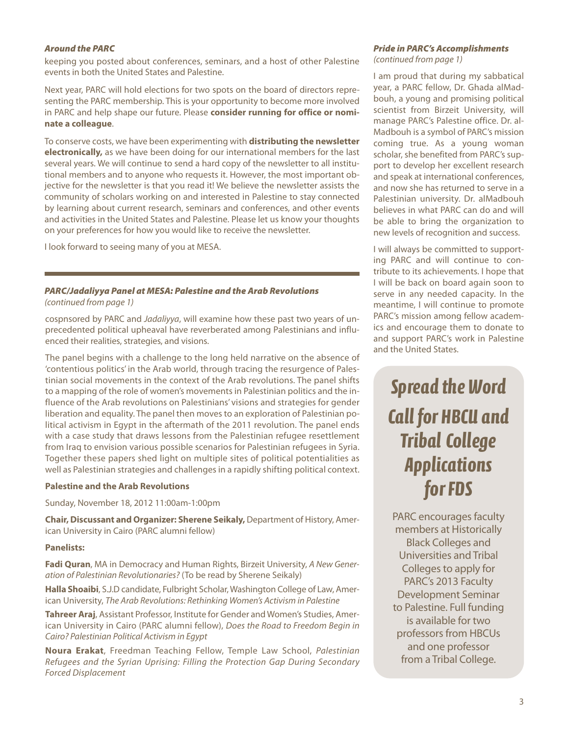keeping you posted about conferences, seminars, and a host of other Palestine events in both the United States and Palestine.

Next year, PARC will hold elections for two spots on the board of directors representing the PARC membership. This is your opportunity to become more involved in PARC and help shape our future. Please **consider running for office or nominate a colleague**.

To conserve costs, we have been experimenting with **distributing the newsletter electronically,** as we have been doing for our international members for the last several years. We will continue to send a hard copy of the newsletter to all institutional members and to anyone who requests it. However, the most important objective for the newsletter is that you read it! We believe the newsletter assists the community of scholars working on and interested in Palestine to stay connected by learning about current research, seminars and conferences, and other events and activities in the United States and Palestine. Please let us know your thoughts on your preferences for how you would like to receive the newsletter.

I look forward to seeing many of you at MESA.

#### *PARC/Jadaliyya Panel at MESA: Palestine and the Arab Revolutions (continued from page 1)*

cospnsored by PARC and *Jadaliyya*, will examine how these past two years of unprecedented political upheaval have reverberated among Palestinians and influenced their realities, strategies, and visions.

The panel begins with a challenge to the long held narrative on the absence of 'contentious politics' in the Arab world, through tracing the resurgence of Palestinian social movements in the context of the Arab revolutions. The panel shifts to a mapping of the role of women's movements in Palestinian politics and the influence of the Arab revolutions on Palestinians' visions and strategies for gender liberation and equality. The panel then moves to an exploration of Palestinian political activism in Egypt in the aftermath of the 2011 revolution. The panel ends with a case study that draws lessons from the Palestinian refugee resettlement from Iraq to envision various possible scenarios for Palestinian refugees in Syria. Together these papers shed light on multiple sites of political potentialities as well as Palestinian strategies and challenges in a rapidly shifting political context.

#### **Palestine and the Arab Revolutions**

Sunday, November 18, 2012 11:00am-1:00pm

**Chair,Discussant and Organizer: Sherene Seikaly,** Department of History, American University in Cairo (PARC alumni fellow)

#### **Panelists:**

**Fadi Quran**, MA in Democracy and Human Rights, Birzeit University, *A New Generation of Palestinian Revolutionaries?* (To be read by Sherene Seikaly)

**Halla Shoaibi**, S.J.D candidate, Fulbright Scholar,Washington College of Law, American University, *The Arab Revolutions: Rethinking Women's Activism in Palestine*

**Tahreer Araj**, Assistant Professor, Institute for Gender and Women's Studies, American University in Cairo (PARC alumni fellow), *Does the Road to Freedom Begin in Cairo? Palestinian Political Activism in Egypt*

**Noura Erakat**, Freedman Teaching Fellow, Temple Law School, *Palestinian Refugees and the Syrian Uprising: Filling the Protection Gap During Secondary Forced Displacement*

### *Around the PARC Pride in PARC's Accomplishments*

*(continued from page 1)*

I am proud that during my sabbatical year, a PARC fellow, Dr. Ghada alMadbouh, a young and promising political scientist from Birzeit University, will manage PARC's Palestine office. Dr. al-Madbouh is a symbol of PARC's mission coming true. As a young woman scholar, she benefited from PARC's support to develop her excellent research and speak at international conferences, and now she has returned to serve in a Palestinian university. Dr. alMadbouh believes in what PARC can do and will be able to bring the organization to new levels of recognition and success.

I will always be committed to supporting PARC and will continue to contribute to its achievements. I hope that I will be back on board again soon to serve in any needed capacity. In the meantime, I will continue to promote PARC's mission among fellow academics and encourage them to donate to and support PARC's work in Palestine and the United States.

## *Spread the Word Call for HBCU and Tribal College Applications* for **FDS**

PARC encourages faculty members at Historically Black Colleges and Universities and Tribal Collegesto apply for PARC's 2013 Faculty Development Seminar to Palestine. Full funding is available for two professors from HBCUs and one professor from a Tribal College.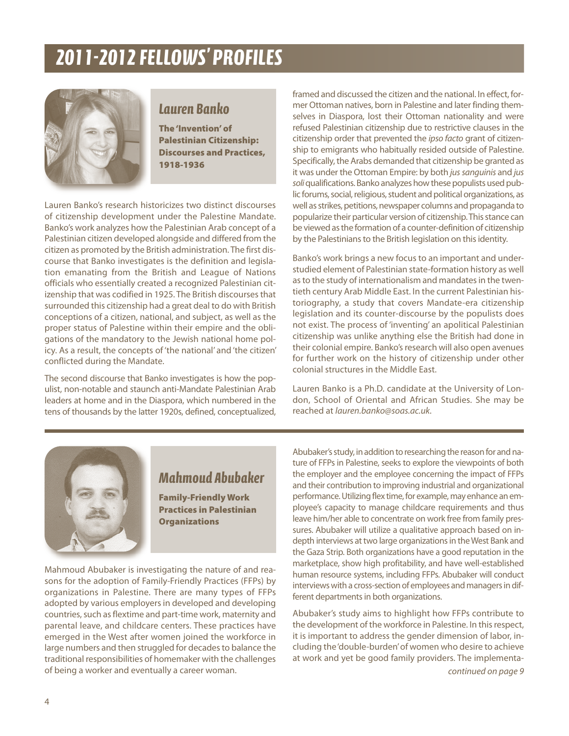

### *Lauren Banko*

**The'Invention'of Palestinian Citizenship: Discourses and Practices, 1918-1936**

Lauren Banko's research historicizes two distinct discourses of citizenship development under the Palestine Mandate. Banko's work analyzes how the Palestinian Arab concept of a Palestinian citizen developed alongside and differed from the citizen as promoted by the British administration. The first discourse that Banko investigates is the definition and legislation emanating from the British and League of Nations officials who essentially created a recognized Palestinian citizenship that was codified in 1925. The British discourses that surrounded this citizenship had a great deal to do with British conceptions of a citizen, national, and subject, as well as the proper status of Palestine within their empire and the obligations of the mandatory to the Jewish national home policy. As a result, the concepts of 'the national' and 'the citizen' conflicted during the Mandate.

The second discourse that Banko investigates is how the populist, non-notable and staunch anti-Mandate Palestinian Arab leaders at home and in the Diaspora, which numbered in the tens of thousands by the latter 1920s, defined, conceptualized, framed and discussed the citizen and the national. In effect, former Ottoman natives, born in Palestine and later finding themselves in Diaspora, lost their Ottoman nationality and were refused Palestinian citizenship due to restrictive clauses in the citizenship order that prevented the *ipso facto* grant of citizenship to emigrants who habitually resided outside of Palestine. Specifically, the Arabs demanded that citizenship be granted as it was under the Ottoman Empire: by both *jus sanguinis* and *jus* soli qualifications. Banko analyzes how these populists used public forums, social, religious, student and political organizations, as well as strikes, petitions, newspaper columns and propaganda to popularize their particular version of citizenship. This stance can be viewed as the formation of a counter-definition of citizenship by the Palestinians to the British legislation on this identity.

Banko's work brings a new focus to an important and understudied element of Palestinian state-formation history as well as to the study of internationalism and mandates in the twentieth century Arab Middle East. In the current Palestinian historiography, a study that covers Mandate-era citizenship legislation and its counter-discourse by the populists does not exist. The process of 'inventing' an apolitical Palestinian citizenship was unlike anything else the British had done in their colonial empire. Banko's research will also open avenues for further work on the history of citizenship under other colonial structures in the Middle East.

Lauren Banko is a Ph.D. candidate at the University of London, School of Oriental and African Studies. She may be reached at *lauren.banko@soas.ac.uk.*



### *Mahmoud Abubaker*

**Family-Friendly Work Practices in Palestinian Organizations**

Mahmoud Abubaker is investigating the nature of and reasons for the adoption of Family-Friendly Practices (FFPs) by organizations in Palestine. There are many types of FFPs adopted by various employers in developed and developing countries, such as flextime and part-time work, maternity and parental leave, and childcare centers. These practices have emerged in the West after women joined the workforce in large numbers and then struggled for decades to balance the traditional responsibilities of homemaker with the challenges of being a worker and eventually a career woman.

Abubaker's study, in addition to researching the reason for and nature of FFPs in Palestine, seeks to explore the viewpoints of both the employer and the employee concerning the impact of FFPs and their contribution to improving industrial and organizational performance. Utilizing flex time, for example, may enhance an employee's capacity to manage childcare requirements and thus leave him/her able to concentrate on work free from family pressures. Abubaker will utilize a qualitative approach based on indepth interviews at two large organizations in the West Bank and the Gaza Strip. Both organizations have a good reputation in the marketplace, show high profitability, and have well-established human resource systems, including FFPs. Abubaker will conduct interviews with a cross-section of employees and managers in different departments in both organizations.

Abubaker's study aims to highlight how FFPs contribute to the development of the workforce in Palestine. In this respect, it is important to address the gender dimension of labor, including the'double-burden'of women who desire to achieve at work and yet be good family providers. The implementa-

*continued on page 9*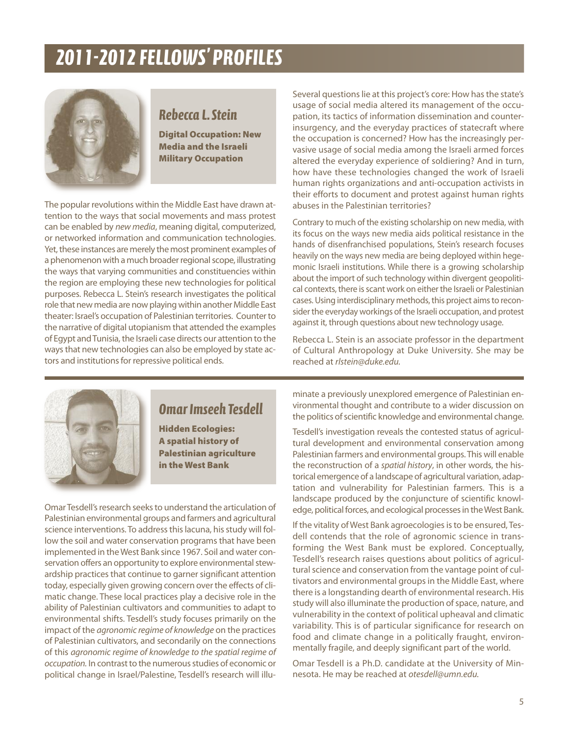

### *Rebecca L.Stein*

**Digital Occupation: New Media and the Israeli Military Occupation**

The popular revolutions within the Middle East have drawn attention to the ways that social movements and mass protest can be enabled by *new media*, meaning digital, computerized, or networked information and communication technologies. Yet, these instances are merely the most prominent examples of a phenomenon with a much broader regional scope, illustrating the ways that varying communities and constituencies within the region are employing these new technologies for political purposes. Rebecca L. Stein's research investigates the political role that new media are now playing within another Middle East theater: Israel's occupation of Palestinian territories. Counter to the narrative of digital utopianism that attended the examples of Egypt and Tunisia, the Israeli case directs our attention to the ways that new technologies can also be employed by state actors and institutions for repressive political ends.

Several questions lie at this project's core: How has the state's usage of social media altered its management of the occupation, its tactics of information dissemination and counterinsurgency, and the everyday practices of statecraft where the occupation is concerned? How has the increasingly pervasive usage of social media among the Israeli armed forces altered the everyday experience of soldiering? And in turn, how have these technologies changed the work of Israeli human rights organizations and anti-occupation activists in their efforts to document and protest against human rights abuses in the Palestinian territories?

Contrary to much of the existing scholarship on new media, with its focus on the ways new media aids political resistance in the hands of disenfranchised populations, Stein's research focuses heavily on the ways new media are being deployed within hegemonic Israeli institutions. While there is a growing scholarship about the import of such technology within divergent geopolitical contexts, there is scant work on either the Israeli or Palestinian cases. Using interdisciplinary methods, this project aims to reconsider the everyday workings of the Israeli occupation, and protest against it, through questions about new technology usage.

Rebecca L. Stein is an associate professor in the department of Cultural Anthropology at Duke University. She may be reached at *rlstein@duke.edu.*



### *Omar Imseeh Tesdell*

**Hidden Ecologies: A spatial history of Palestinian agriculture in the West Bank**

Omar Tesdell's research seeks to understand the articulation of Palestinian environmental groups and farmers and agricultural science interventions. To address this lacuna, his study will follow the soil and water conservation programs that have been implemented in theWest Bank since 1967. Soil and water conservation offers an opportunity to explore environmental stewardship practices that continue to garner significant attention today, especially given growing concern over the effects of climatic change. These local practices play a decisive role in the ability of Palestinian cultivators and communities to adapt to environmental shifts. Tesdell's study focuses primarily on the impact of the *agronomic regime of knowledge* on the practices of Palestinian cultivators, and secondarily on the connections of this *agronomic regime of knowledge to the spatial regime of occupation.* In contrast to the numerous studies of economic or political change in Israel/Palestine, Tesdell's research will illuminate a previously unexplored emergence of Palestinian environmental thought and contribute to a wider discussion on the politics of scientific knowledge and environmental change.

Tesdell's investigation reveals the contested status of agricultural development and environmental conservation among Palestinian farmers and environmental groups. This will enable the reconstruction of a *spatial history*, in other words, the historical emergence of a landscape of agricultural variation, adaptation and vulnerability for Palestinian farmers. This is a landscape produced by the conjuncture of scientific knowledge, political forces, and ecological processes in the West Bank.

If the vitality of West Bank agroecologies is to be ensured, Tesdell contends that the role of agronomic science in transforming the West Bank must be explored. Conceptually, Tesdell's research raises questions about politics of agricultural science and conservation from the vantage point of cultivators and environmental groups in the Middle East, where there is a longstanding dearth of environmental research. His study will also illuminate the production of space, nature, and vulnerability in the context of political upheaval and climatic variability. This is of particular significance for research on food and climate change in a politically fraught, environmentally fragile, and deeply significant part of the world.

Omar Tesdell is a Ph.D. candidate at the University of Minnesota. He may be reached at *otesdell@umn.edu.*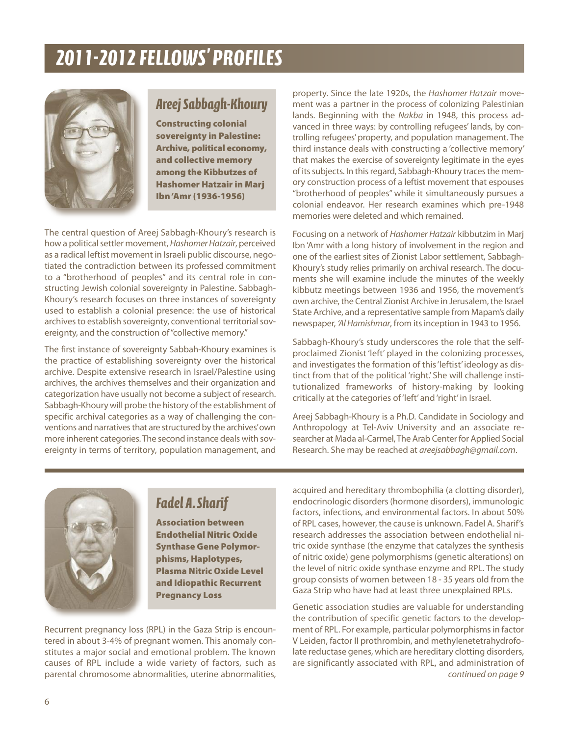

### *AreejSabbagh-Khoury*

**Constructing colonial sovereignty in Palestine: Archive, political economy, and collective memory among the Kibbutzes of Hashomer Hatzair in Marj Ibn'Amr (1936-1956)**

The central question of Areej Sabbagh-Khoury's research is how a political settler movement, *Hashomer Hatzair*, perceived as a radical leftist movement in Israeli public discourse, negotiated the contradiction between its professed commitment to a "brotherhood of peoples" and its central role in constructing Jewish colonial sovereignty in Palestine. Sabbagh-Khoury's research focuses on three instances of sovereignty used to establish a colonial presence: the use of historical archives to establish sovereignty, conventional territorial sovereignty, and the construction of "collective memory."

The first instance of sovereignty Sabbah-Khoury examines is the practice of establishing sovereignty over the historical archive. Despite extensive research in Israel/Palestine using archives, the archives themselves and their organization and categorization have usually not become a subject of research. Sabbagh-Khoury will probe the history of the establishment of specific archival categories as a way of challenging the conventions and narratives that are structured by the archives' own more inherent categories.The second instance deals with sovereignty in terms of territory, population management, and

property. Since the late 1920s, the *Hashomer Hatzair* movement was a partner in the process of colonizing Palestinian lands. Beginning with the *Nakba* in 1948, this process advanced in three ways: by controlling refugees' lands, by controlling refugees'property, and population management. The third instance deals with constructing a 'collective memory' that makes the exercise of sovereignty legitimate in the eyes of its subjects. In this regard, Sabbagh-Khoury traces the memory construction process of a leftist movement that espouses "brotherhood of peoples" while it simultaneously pursues a colonial endeavor. Her research examines which pre-1948 memories were deleted and which remained.

Focusing on a network of *Hashomer Hatzair* kibbutzim in Marj Ibn 'Amr with a long history of involvement in the region and one of the earliest sites of Zionist Labor settlement, Sabbagh-Khoury's study relies primarily on archival research. The documents she will examine include the minutes of the weekly kibbutz meetings between 1936 and 1956, the movement's own archive, the Central Zionist Archive in Jerusalem, the Israel State Archive, and a representative sample from Mapam's daily newspaper, *'AlHamishmar*, from itsinception in 1943 to 1956.

Sabbagh-Khoury's study underscores the role that the selfproclaimed Zionist 'left' played in the colonizing processes, and investigates the formation of this'leftist'ideology as distinct from that of the political 'right.' She will challenge institutionalized frameworks of history-making by looking critically at the categories of'left' and'right' in Israel.

Areej Sabbagh-Khoury is a Ph.D. Candidate in Sociology and Anthropology at Tel-Aviv University and an associate researcher at Mada al-Carmel, The Arab Center for Applied Social Research. She may be reached at *areejsabbagh@gmail.com*.



### *Fadel A.Sharif*

**Association between Endothelial Nitric Oxide Synthase Gene Polymorphisms, Haplotypes, Plasma Nitric Oxide Level and Idiopathic Recurrent Pregnancy Loss**

Recurrent pregnancy loss (RPL) in the Gaza Strip is encountered in about 3-4% of pregnant women. This anomaly constitutes a major social and emotional problem. The known causes of RPL include a wide variety of factors, such as parental chromosome abnormalities, uterine abnormalities, acquired and hereditary thrombophilia (a clotting disorder), endocrinologic disorders(hormone disorders), immunologic factors, infections, and environmental factors. In about 50% of RPL cases, however, the cause is unknown. Fadel A. Sharif's research addresses the association between endothelial nitric oxide synthase (the enzyme that catalyzes the synthesis of nitric oxide) gene polymorphisms (genetic alterations) on the level of nitric oxide synthase enzyme and RPL. The study group consists of women between 18 - 35 years old from the Gaza Strip who have had at least three unexplained RPLs.

Genetic association studies are valuable for understanding the contribution of specific genetic factors to the development of RPL. For example, particular polymorphismsin factor V Leiden, factor II prothrombin, and methylenetetrahydrofolate reductase genes, which are hereditary clotting disorders, are significantly associated with RPL, and administration of *continued on page 9*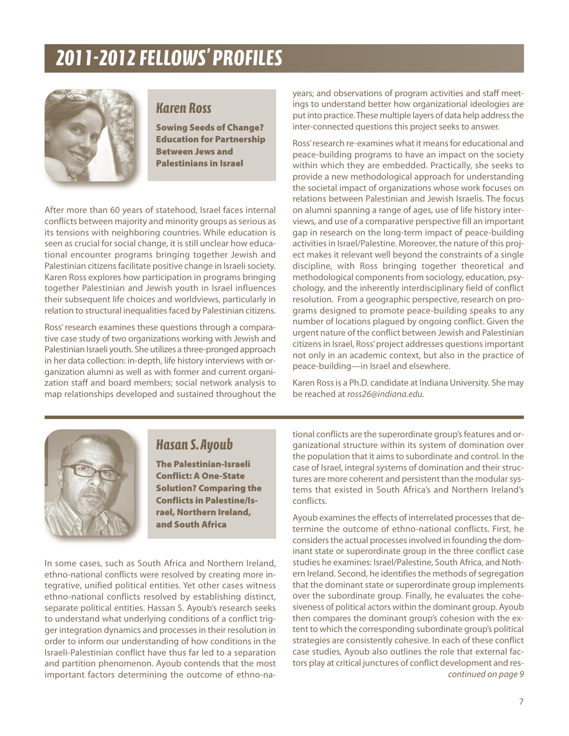

### *Karen Ross*

**Sowing Seeds of Change? Education for Partnership Between Jews and Palestinians in Israel**

After more than 60 years of statehood, Israel faces internal conflicts between majority and minority groups as serious as its tensions with neighboring countries. While education is seen as crucial for social change, it is still unclear how educational encounter programs bringing together Jewish and Palestinian citizens facilitate positive change in Israeli society. Karen Ross explores how participation in programs bringing together Palestinian and Jewish youth in Israel influences their subsequent life choices and worldviews, particularly in relation to structural inequalities faced by Palestinian citizens.

Ross'research examines these questions through a comparative case study of two organizations working with Jewish and Palestinian Israeli youth. She utilizes a three-pronged approach in her data collection: in-depth, life history interviews with organization alumni as well as with former and current organization staff and board members; social network analysis to map relationships developed and sustained throughout the

years; and observations of program activities and staff meetings to understand better how organizational ideologies are put into practice. These multiple layers of data help address the inter-connected questions this project seeks to answer.

Ross'research re-examines what it meansfor educational and peace-building programs to have an impact on the society within which they are embedded. Practically, she seeks to provide a new methodological approach for understanding the societal impact of organizations whose work focuses on relations between Palestinian and Jewish Israelis. The focus on alumni spanning a range of ages, use of life history interviews, and use of a comparative perspective fill an important gap in research on the long-term impact of peace-building activities in Israel/Palestine. Moreover, the nature of this project makes it relevant well beyond the constraints of a single discipline, with Ross bringing together theoretical and methodological components from sociology, education, psychology, and the inherently interdisciplinary field of conflict resolution. From a geographic perspective, research on programs designed to promote peace-building speaks to any number of locations plagued by ongoing conflict. Given the urgent nature of the conflict between Jewish and Palestinian citizens in Israel, Ross' project addresses questions important not only in an academic context, but also in the practice of peace-building—in Israel and elsewhere.

Karen Rossis a Ph.D. candidate at Indiana University. She may be reached at *ross26@indiana.edu.*



### *Hasan S.Ayoub*

**The Palestinian-Israeli Conflict: A One-State Solution? Comparing the Conflicts in Palestine/Israel, Northern Ireland, and South Africa**

In some cases, such as South Africa and Northern Ireland, ethno-national conflicts were resolved by creating more integrative, unified political entities. Yet other cases witness ethno-national conflicts resolved by establishing distinct, separate political entities. Hassan S. Ayoub's research seeks to understand what underlying conditions of a conflict trigger integration dynamics and processesin their resolution in order to inform our understanding of how conditions in the Israeli-Palestinian conflict have thus far led to a separation and partition phenomenon. Ayoub contends that the most important factors determining the outcome of ethno-national conflicts are the superordinate group's features and organizational structure within its system of domination over the population that it aims to subordinate and control. In the case of Israel, integral systems of domination and their structures are more coherent and persistent than the modular systems that existed in South Africa's and Northern Ireland's conflicts.

Ayoub examines the effects of interrelated processes that determine the outcome of ethno-national conflicts. First, he considers the actual processes involved in founding the dominant state or superordinate group in the three conflict case studies he examines: Israel/Palestine, South Africa, and Nothern Ireland. Second, he identifies the methods of segregation that the dominant state or superordinate group implements over the subordinate group. Finally, he evaluates the cohesiveness of political actors within the dominant group. Ayoub then compares the dominant group's cohesion with the extent to which the corresponding subordinate group's political strategies are consistently cohesive. In each of these conflict case studies, Ayoub also outlines the role that external factors play at critical junctures of conflict development and res*continued on page 9*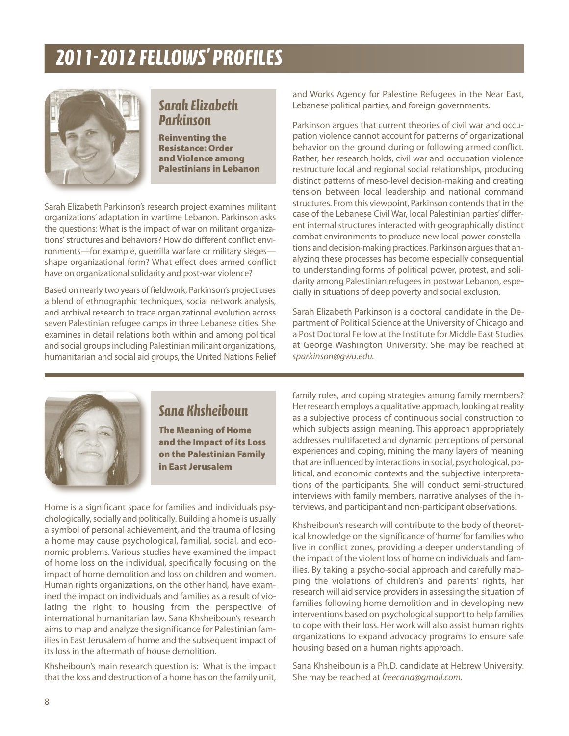

### *Sarah Elizabeth Parkinson*

**Reinventing the Resistance: Order andViolence among Palestinians in Lebanon**

Sarah Elizabeth Parkinson's research project examines militant organizations' adaptation in wartime Lebanon. Parkinson asks the questions: What is the impact of war on militant organizations' structures and behaviors? How do different conflict environments—for example, guerrilla warfare or military sieges shape organizational form? What effect does armed conflict have on organizational solidarity and post-war violence?

Based on nearly two years of fieldwork, Parkinson's project uses a blend of ethnographic techniques, social network analysis, and archival research to trace organizational evolution across seven Palestinian refugee camps in three Lebanese cities. She examines in detail relations both within and among political and social groups including Palestinian militant organizations, humanitarian and social aid groups, the United Nations Relief and Works Agency for Palestine Refugees in the Near East, Lebanese political parties, and foreign governments.

Parkinson argues that current theories of civil war and occupation violence cannot account for patterns of organizational behavior on the ground during or following armed conflict. Rather, her research holds, civil war and occupation violence restructure local and regional social relationships, producing distinct patterns of meso-level decision-making and creating tension between local leadership and national command structures. From this viewpoint, Parkinson contends that in the case of the Lebanese Civil War, local Palestinian parties'different internal structures interacted with geographically distinct combat environments to produce new local power constellations and decision-making practices. Parkinson argues that analyzing these processes has become especially consequential to understanding forms of political power, protest, and solidarity among Palestinian refugees in postwar Lebanon, especially in situations of deep poverty and social exclusion.

Sarah Elizabeth Parkinson is a doctoral candidate in the Department of Political Science at the University of Chicago and a Post Doctoral Fellow at the Institute for Middle East Studies at George Washington University. She may be reached at *sparkinson@gwu.edu.*



### *Sana Khsheiboun*

**The Meaning of Home and the Impact of its Loss on the Palestinian Family in East Jerusalem**

Home is a significant space for families and individuals psychologically, socially and politically. Building a home is usually a symbol of personal achievement, and the trauma of losing a home may cause psychological, familial, social, and economic problems. Various studies have examined the impact of home loss on the individual, specifically focusing on the impact of home demolition and loss on children and women. Human rights organizations, on the other hand, have examined the impact on individuals and families as a result of violating the right to housing from the perspective of international humanitarian law. Sana Khsheiboun's research aimsto map and analyze the significance for Palestinian families in East Jerusalem of home and the subsequent impact of its loss in the aftermath of house demolition.

Khsheiboun's main research question is: What is the impact that the loss and destruction of a home has on the family unit,

family roles, and coping strategies among family members? Her research employs a qualitative approach, looking at reality as a subjective process of continuous social construction to which subjects assign meaning. This approach appropriately addresses multifaceted and dynamic perceptions of personal experiences and coping, mining the many layers of meaning that are influenced by interactions in social, psychological, political, and economic contexts and the subjective interpretations of the participants. She will conduct semi-structured interviews with family members, narrative analyses of the interviews, and participant and non-participant observations.

Khsheiboun's research will contribute to the body of theoretical knowledge on the significance of'home'for families who live in conflict zones, providing a deeper understanding of the impact of the violent loss of home on individuals and families. By taking a psycho-social approach and carefully mapping the violations of children's and parents' rights, her research will aid service providers in assessing the situation of families following home demolition and in developing new interventions based on psychological support to help families to cope with their loss. Her work will also assist human rights organizations to expand advocacy programs to ensure safe housing based on a human rights approach.

Sana Khsheiboun is a Ph.D. candidate at Hebrew University. She may be reached at *freecana@gmail.com.*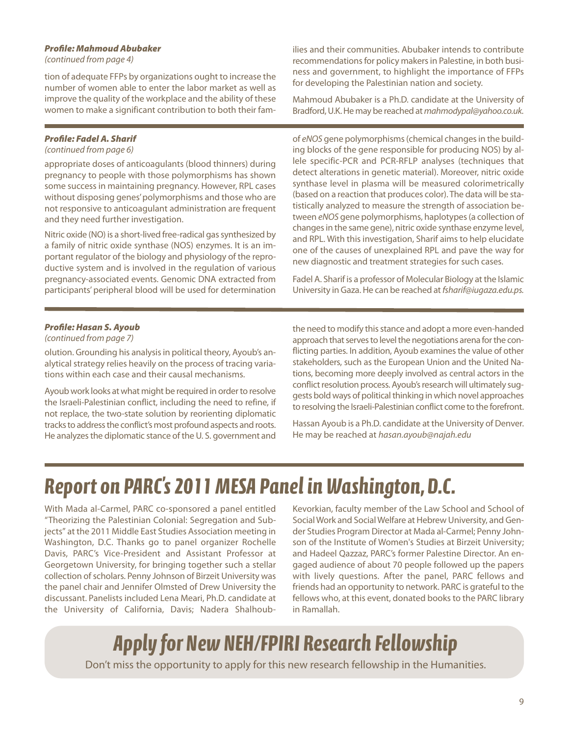#### *Profile: Mahmoud Abubaker*

*(continued from page 4)*

tion of adequate FFPs by organizations ought to increase the number of women able to enter the labor market as well as improve the quality of the workplace and the ability of these women to make a significant contribution to both their fam-

#### *Profile: Fadel A. Sharif*

#### *(continued from page 6)*

appropriate doses of anticoagulants (blood thinners) during pregnancy to people with those polymorphisms has shown some successin maintaining pregnancy. However, RPL cases without disposing genes'polymorphisms and those who are not responsive to anticoagulant administration are frequent and they need further investigation.

Nitric oxide (NO) is a short-lived free-radical gas synthesized by a family of nitric oxide synthase (NOS) enzymes. It is an important regulator of the biology and physiology of the reproductive system and is involved in the regulation of various pregnancy-associated events. Genomic DNA extracted from participants' peripheral blood will be used for determination

ilies and their communities. Abubaker intends to contribute recommendations for policy makers in Palestine, in both business and government, to highlight the importance of FFPs for developing the Palestinian nation and society.

Mahmoud Abubaker is a Ph.D. candidate at the University of Bradford,U.K.He may be reached at *mahmodypal@yahoo.co.uk.*

of *eNOS* gene polymorphisms(chemical changesin the building blocks of the gene responsible for producing NOS) by allele specific-PCR and PCR-RFLP analyses (techniques that detect alterations in genetic material). Moreover, nitric oxide synthase level in plasma will be measured colorimetrically (based on a reaction that produces color). The data will be statistically analyzed to measure the strength of association between *eNOS* gene polymorphisms, haplotypes(a collection of changesin the same gene), nitric oxide synthase enzyme level, and RPL. With this investigation, Sharif aims to help elucidate one of the causes of unexplained RPL and pave the way for new diagnostic and treatment strategies for such cases.

Fadel A. Sharif is a professor of Molecular Biology at the Islamic University in Gaza.He can be reached at*fsharif@iugaza.edu.ps.*

#### *Profile: Hasan S. Ayoub*

#### *(continued from page 7)*

olution. Grounding his analysisin political theory, Ayoub's analytical strategy relies heavily on the process of tracing variations within each case and their causal mechanisms.

Ayoub work looks at what might be required in order to resolve the Israeli-Palestinian conflict, including the need to refine, if not replace, the two-state solution by reorienting diplomatic tracks to address the conflict's most profound aspects and roots. He analyzes the diplomatic stance of the U.S. government and

the need to modify this stance and adopt a more even-handed approach that serves to level the negotiations arena for the conflicting parties. In addition, Ayoub examines the value of other stakeholders, such as the European Union and the United Nations, becoming more deeply involved as central actors in the conflict resolution process. Ayoub's research will ultimately suggests bold ways of political thinking in which novel approaches to resolving the Israeli-Palestinian conflict come to the forefront.

Hassan Ayoub is a Ph.D. candidate at the University of Denver. He may be reached at *hasan.ayoub@najah.edu*

## *Report on PARC' s 2011MESA Panel in Washington,D.C.*

With Mada al-Carmel, PARC co-sponsored a panel entitled "Theorizing the Palestinian Colonial: Segregation and Subjects" at the 2011 Middle East Studies Association meeting in Washington, D.C. Thanks go to panel organizer Rochelle Davis, PARC's Vice-President and Assistant Professor at Georgetown University, for bringing together such a stellar collection of scholars. Penny Johnson of Birzeit University was the panel chair and Jennifer Olmsted of Drew University the discussant. Panelists included Lena Meari, Ph.D. candidate at the University of California, Davis; Nadera ShalhoubKevorkian, faculty member of the Law School and School of Social Work and Social Welfare at Hebrew University, and Gender Studies Program Director at Mada al-Carmel; Penny Johnson of the Institute of Women's Studies at Birzeit University; and Hadeel Qazzaz, PARC's former Palestine Director. An engaged audience of about 70 people followed up the papers with lively questions. After the panel, PARC fellows and friends had an opportunity to network. PARC is grateful to the fellows who, at this event, donated books to the PARC library in Ramallah.

## *Apply for NewNEH/FPIRI Research Fellowship*

Don't miss the opportunity to apply for this new research fellowship in the Humanities.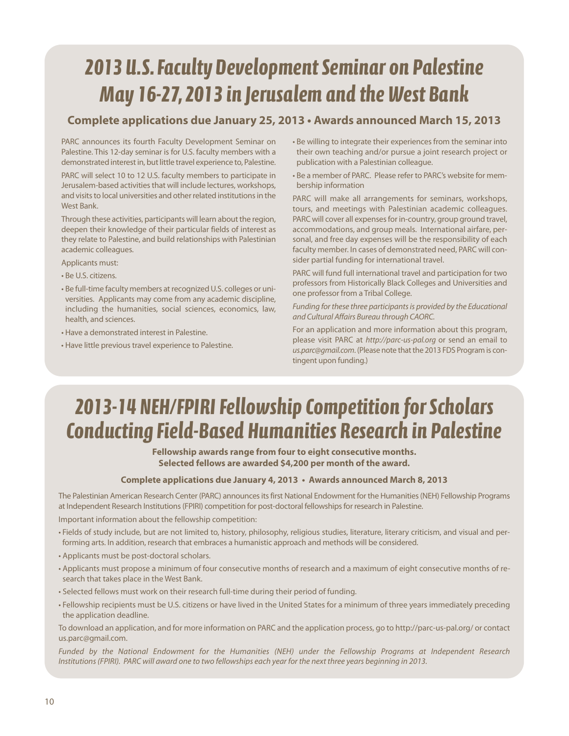## *2013 U.S.Faculty DevelopmentSeminar on Palestine May 16-27,2013 in Jerusalemand the West Bank*

### **Complete applications due January 25, 2013 • Awards announced March 15, 2013**

PARC announces its fourth Faculty Development Seminar on Palestine. This 12-day seminar is for U.S. faculty members with a demonstrated interest in, but little travel experience to, Palestine.

PARC will select 10 to 12 U.S. faculty members to participate in Jerusalem-based activities that will include lectures, workshops, and visits to local universities and other related institutions in the West Bank.

Through these activities, participants will learn about the region, deepen their knowledge of their particular fields of interest as they relate to Palestine, and build relationships with Palestinian academic colleagues.

Applicants must:

- Be U.S. citizens.
- Be full-time faculty members at recognized U.S. colleges or universities. Applicants may come from any academic discipline, including the humanities, social sciences, economics, law, health, and sciences.
- Have a demonstrated interest in Palestine.
- Have little previous travel experience to Palestine.
- Be willing to integrate their experiences from the seminar into their own teaching and/or pursue a joint research project or publication with a Palestinian colleague.
- Be a member of PARC. Please refer to PARC's website for membership information

PARC will make all arrangements for seminars, workshops, tours, and meetings with Palestinian academic colleagues. PARC will cover all expenses for in-country, group ground travel, accommodations, and group meals. International airfare, personal, and free day expenses will be the responsibility of each faculty member. In cases of demonstrated need, PARC will consider partial funding for international travel.

PARC will fund full international travel and participation for two professors from Historically Black Colleges and Universities and one professor from a Tribal College.

*Funding for these three participantsis provided by the Educational and Cultural Affairs Bureau through CAORC.*

For an application and more information about this program, please visit PARC at *http://parc-us-pal.org* or send an email to us.parc@gmail.com. (Please note that the 2013 FDS Program is contingent upon funding.)

## *2013-14 NEH/FPIRIFellowship Competition forScholars Conducting Field-Based Humanities Research in Palestine*

**Fellowship awards range from four to eight consecutive months. Selected fellows are awarded \$4,200 per month of the award.**

#### **Complete applications due January 4, 2013 • Awards announced March 8, 2013**

The Palestinian American Research Center (PARC) announces its first National Endowment for the Humanities (NEH) Fellowship Programs at Independent Research Institutions (FPIRI) competition for post-doctoral fellowships for research in Palestine. Important information about the fellowship competition:

- Fields of study include, but are not limited to, history, philosophy, religious studies, literature, literary criticism, and visual and performing arts. In addition, research that embraces a humanistic approach and methods will be considered.
- Applicants must be post-doctoral scholars.
- Applicants must propose a minimum of four consecutive months of research and a maximum of eight consecutive months of research that takes place in the West Bank.
- Selected fellows must work on their research full-time during their period of funding.
- Fellowship recipients must be U.S. citizens or have lived in the United States for a minimum of three years immediately preceding the application deadline.

To download an application, and for more information on PARC and the application process, go to http://parc-us-pal.org/ or contact us.parc@gmail.com.

*Funded by the National Endowment for the Humanities (NEH) under the Fellowship Programs at Independent Research* Institutions (FPIRI). PARC will award one to two fellowships each year for the next three years beginning in 2013.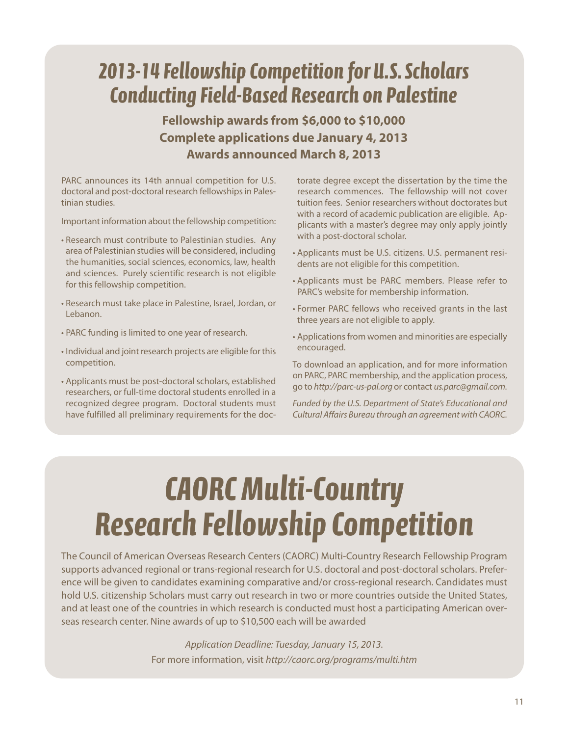## *2013-14 Fellowship Competition for U.S.Scholars Conducting Field-Based Research on Palestine*

**Fellowship awards from \$6,000 to \$10,000 Complete applications due January 4, 2013 Awards announced March 8, 2013**

PARC announces its 14th annual competition for U.S. doctoral and post-doctoral research fellowshipsin Palestinian studies.

Important information about the fellowship competition:

- Research must contribute to Palestinian studies. Any area of Palestinian studies will be considered, including the humanities, social sciences, economics, law, health and sciences. Purely scientific research is not eligible for this fellowship competition.
- Research must take place in Palestine, Israel, Jordan, or Lebanon.
- PARC funding is limited to one year of research.
- Individual and joint research projects are eligible for this competition.
- Applicants must be post-doctoral scholars, established researchers, or full-time doctoral students enrolled in a recognized degree program. Doctoral students must have fulfilled all preliminary requirements for the doc-

torate degree except the dissertation by the time the research commences. The fellowship will not cover tuition fees. Senior researchers without doctorates but with a record of academic publication are eligible. Applicants with a master's degree may only apply jointly with a post-doctoral scholar.

- Applicants must be U.S. citizens. U.S. permanent residents are not eligible for this competition.
- Applicants must be PARC members. Please refer to PARC's website for membership information.
- Former PARC fellows who received grants in the last three years are not eligible to apply.
- Applications from women and minorities are especially encouraged.

To download an application, and for more information on PARC, PARC membership, and the application process, go to *http://parc-us-pal.org* or contact *us.parc@gmail.com.*

*Funded by the U.S. Department of State's Educational and Cultural Affairs Bureau through an agreement with CAORC.*

# **CAORC Multi-Country** *Research Fellowship Competition*

The Council of American Overseas Research Centers (CAORC) Multi-Country Research Fellowship Program supports advanced regional or trans-regional research for U.S. doctoral and post-doctoral scholars. Preference will be given to candidates examining comparative and/or cross-regional research. Candidates must hold U.S. citizenship Scholars must carry out research in two or more countries outside the United States, and at least one of the countries in which research is conducted must host a participating American overseas research center. Nine awards of up to \$10,500 each will be awarded

> *Application Deadline: Tuesday, January 15, 2013.* For more information, visit *http://caorc.org/programs/multi.htm*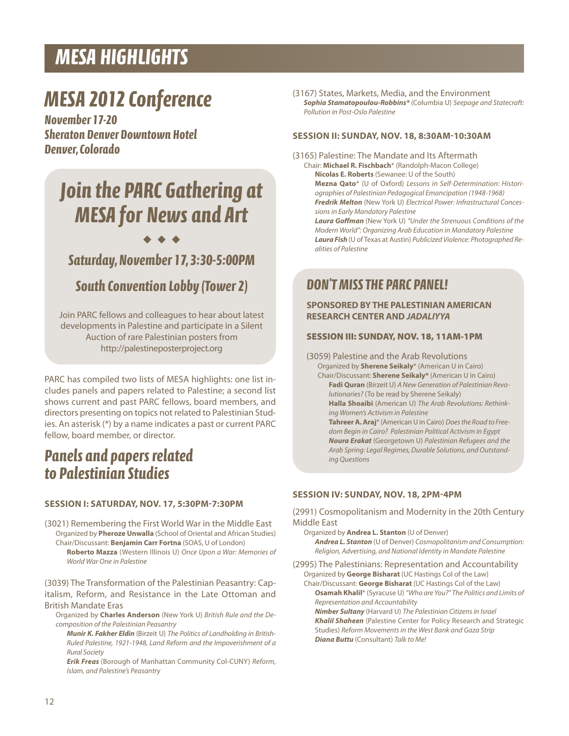### *MESA HIGHLIGHTS*

## *MESA 2012 Conference*

*November 17-20 Sheraton Denver Downtown Hotel Denver,Colorado*

## *Join the PARC Gathering at MESA for News and Art*

#### ◆ ◆ ◆

### *Saturday,November 17,3:30-5:00PM*

### *South Convention Lobby (Tower 2)*

Join PARC fellows and colleagues to hear about latest developments in Palestine and participate in a Silent Auction of rare Palestinian posters from http://palestineposterproject.org

PARC has compiled two lists of MESA highlights: one list includes panels and papers related to Palestine; a second list shows current and past PARC fellows, board members, and directors presenting on topics not related to Palestinian Studies. An asterisk (\*) by a name indicates a past or current PARC fellow, board member, or director.

### *Panels and papers related to Palestinian Studies*

#### **SESSION I: SATURDAy, NOV. 17, 5:30PM-7:30PM**

(3021) Remembering the First World War in the Middle East Organized by **Pheroze Unwalla** (School of Oriental and African Studies) Chair/Discussant: **Benjamin Carr Fortna** (SOAS, U of London) **Roberto Mazza** (Western Illinois U) *Once Upon a War: Memories of World War One in Palestine*

(3039) The Transformation of the Palestinian Peasantry: Capitalism, Reform, and Resistance in the Late Ottoman and British Mandate Eras

Organized by **Charles Anderson** (New York U) *British Rule and the Decomposition of the Palestinian Peasantry*

*Munir K. Fakher Eldin* (Birzeit U) *The Politics of Landholding in British-Ruled Palestine, 1921-1948, Land Reform and the Impoverishment of a Rural Society*

*Erik Freas* (Borough of Manhattan Community Col-CUNY) *Reform, Islam, and Palestine's Peasantry*

(3167) States, Markets, Media, and the Environment *Sophia Stamatopoulou-Robbins\** (Columbia U) *Seepage and Statecraft: Pollution in Post-Oslo Palestine*

#### **SESSION II: SUNDAy, NOV. 18, 8:30AM-10:30AM**

(3165) Palestine: The Mandate and Its Aftermath

Chair: **Michael R. Fischbach**\* (Randolph-Macon College) **Nicolas E. Roberts** (Sewanee: U of the South) **Mezna Qato**\* (U of Oxford) *Lessons in Self-Determination: Historiographies of Palestinian Pedagogical Emancipation (1948-1968) Fredrik Melton* (New York U) *Electrical Power: Infrastructural Concessionsin Early Mandatory Palestine*

*Laura Goffman* (New York U) *"Under the Strenuous Conditions of the Modern World": Organizing Arab Education in Mandatory Palestine Laura Fish* (U of Texas at Austin) *Publicized Violence: Photographed Realities of Palestine*

### *DON'TMISSTHE PARC PANEL!*

#### **SPONSORED By THE PAlESTINIAN AMERICAN RESEARCH CENTER AND** *JADALIYYA*

#### **SESSION III: SUNDAY, NOV. 18, 11AM-1PM**

(3059) Palestine and the Arab Revolutions Organized by **Sherene Seikaly**\* (American U in Cairo) Chair/Discussant: **Sherene Seikaly\*** (American U in Cairo) **Fadi Quran** (Birzeit U) *A New Generation of Palestinian Revolutionaries?* (To be read by Sherene Seikaly) **Halla Shoaibi** (American U) *The Arab Revolutions: Rethinking Women's Activism in Palestine* **TahreerA.Araj**\* (American U in Cairo) *Doesthe Road to Freedom Begin in Cairo? Palestinian Political Activism in Egypt Noura Erakat* (Georgetown U) *Palestinian Refugees and the* Arab Spring: Legal Regimes, Durable Solutions, and Outstand*ing Questions*

#### **SESSION IV: SUNDAy, NOV. 18, 2PM-4PM**

(2991) Cosmopolitanism and Modernity in the 20th Century Middle East

Organized by **Andrea l. Stanton** (U of Denver)

*Andrea L. Stanton* (U of Denver) *Cosmopolitanism and Consumption: Religion, Advertising, and National Identity in Mandate Palestine*

(2995) The Palestinians: Representation and Accountability Organized by **George Bisharat** (UC Hastings Col of the Law) Chair/Discussant: **George Bisharat** (UC Hastings Col of the Law)

**Osamah Khalil**\* (Syracuse U) *"Who are You?" The Politics and Limits of Representation and Accountability*

*Nimber Sultany* (Harvard U) *The Palestinian Citizensin Israel Khalil Shaheen* (Palestine Center for Policy Research and Strategic Studies) *Reform Movementsin the West Bank and Gaza Strip Diana Buttu* (Consultant) *Talk to Me!*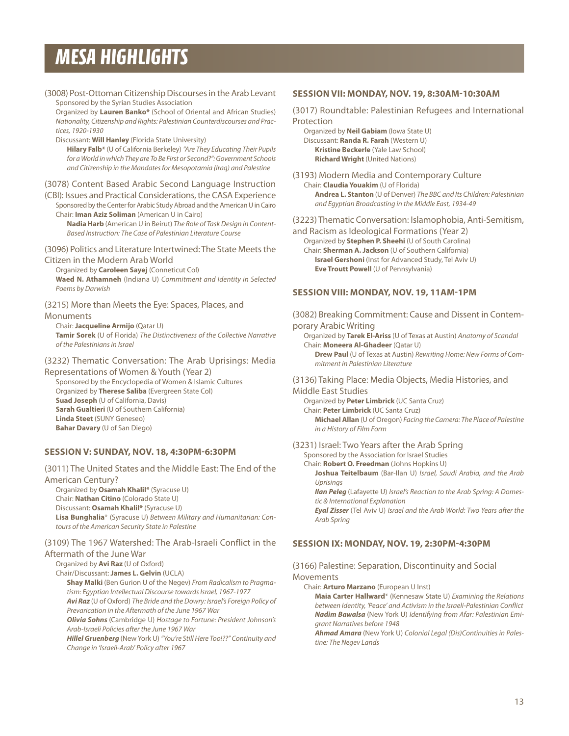### *MESA HIGHLIGHTS*

| (3008) Post-Ottoman Citizenship Discourses in the Arab Levant<br>Sponsored by the Syrian Studies Association<br>Organized by Lauren Banko* (School of Oriental and African Studies)<br>Nationality, Citizenship and Rights: Palestinian Counterdiscourses and Prac-<br>tices, 1920-1930<br>Discussant: Will Hanley (Florida State University)                                                                                                                                                   |  |
|-------------------------------------------------------------------------------------------------------------------------------------------------------------------------------------------------------------------------------------------------------------------------------------------------------------------------------------------------------------------------------------------------------------------------------------------------------------------------------------------------|--|
| Hilary Falb* (U of California Berkeley) "Are They Educating Their Pupils<br>for a World in which They are To Be First or Second?": Government Schools<br>and Citizenship in the Mandates for Mesopotamia (Iraq) and Palestine                                                                                                                                                                                                                                                                   |  |
| (3078) Content Based Arabic Second Language Instruction<br>(CBI): Issues and Practical Considerations, the CASA Experience<br>Sponsored by the Center for Arabic Study Abroad and the American U in Cairo<br>Chair: Iman Aziz Soliman (American U in Cairo)<br>Nadia Harb (American U in Beirut) The Role of Task Design in Content-<br>Based Instruction: The Case of Palestinian Literature Course                                                                                            |  |
| (3096) Politics and Literature Intertwined: The State Meets the<br>Citizen in the Modern Arab World<br>Organized by Caroleen Sayej (Conneticut Col)<br>Waed N. Athamneh (Indiana U) Commitment and Identity in Selected<br>Poems by Darwish                                                                                                                                                                                                                                                     |  |
| (3215) More than Meets the Eye: Spaces, Places, and<br>Monuments<br>Chair: Jacqueline Armijo (Qatar U)<br><b>Tamir Sorek</b> (U of Florida) The Distinctiveness of the Collective Narrative<br>of the Palestinians in Israel                                                                                                                                                                                                                                                                    |  |
| (3232) Thematic Conversation: The Arab Uprisings: Media<br>Representations of Women & Youth (Year 2)<br>Sponsored by the Encyclopedia of Women & Islamic Cultures<br>Organized by Therese Saliba (Evergreen State Col)<br>Suad Joseph (U of California, Davis)<br>Sarah Gualtieri (U of Southern California)<br><b>Linda Steet (SUNY Geneseo)</b><br>Bahar Davary (U of San Diego)                                                                                                              |  |
| SESSION V: SUNDAY, NOV. 18, 4:30PM-6:30PM                                                                                                                                                                                                                                                                                                                                                                                                                                                       |  |
| (3011) The United States and the Middle East: The End of the<br><b>American Century?</b><br>Organized by Osamah Khalil* (Syracuse U)<br>Chair: Nathan Citino (Colorado State U)<br>Discussant: Osamah Khalil* (Syracuse U)<br>Lisa Bunghalia* (Syracuse U) Between Military and Humanitarian: Con-<br>tours of the American Security State in Palestine                                                                                                                                         |  |
| (3109) The 1967 Watershed: The Arab-Israeli Conflict in the<br>Aftermath of the June War                                                                                                                                                                                                                                                                                                                                                                                                        |  |
| Organized by <b>Avi Raz</b> (U of Oxford)<br>Chair/Discussant: James L. Gelvin (UCLA)<br>Shay Malki (Ben Gurion U of the Negev) From Radicalism to Pragma-<br>tism: Egyptian Intellectual Discourse towards Israel, 1967-1977<br>Avi Raz (U of Oxford) The Bride and the Dowry: Israel's Foreign Policy of<br>Prevarication in the Aftermath of the June 1967 War<br><b>Olivia Sohns</b> (Cambridge U) Hostage to Fortune: President Johnson's<br>Arab-Israeli Policies after the June 1967 War |  |

*HillelGruenberg* (NewYork U) *"You're Still Here Too!??" Continuity and Change in 'Israeli-Arab' Policy after 1967*

#### **SESSION VII: MONDAy, NOV. 19, 8:30AM-10:30AM**

(3017) Roundtable: Palestinian Refugees and International Protection

Organized by **Neil Gabiam** (Iowa State U) Discussant: **Randa R. Farah** (Western U) **Kristine Beckerle** (Yale Law School) **Richard Wright** (United Nations)

(3193) Modern Media and Contemporary Culture Chair: **Claudia youakim** (U of Florida) **Andrea l. Stanton** (U of Denver) *The BBC and Its Children: Palestinian and Egyptian Broadcasting in the Middle East, 1934-49*

(3223) Thematic Conversation: Islamophobia, Anti-Semitism,

and Racism as Ideological Formations (Year 2) Organized by **Stephen P. Sheehi** (U of South Carolina)

Chair: **Sherman A. Jackson** (U of Southern California) **Israel Gershoni** (Inst for Advanced Study, Tel Aviv U) **Eve Troutt Powell** (U of Pennsylvania)

#### **SESSION VIII: MONDAy, NOV. 19, 11AM-1PM**

(3082) Breaking Commitment: Cause and Dissent in Contemporary Arabic Writing

Organized by **Tarek El-Ariss** (U of Texas at Austin) *Anatomy of Scandal* Chair: **Moneera Al-Ghadeer** (Qatar U)

**Drew Paul** (U of Texas at Austin) *Rewriting Home: New Forms of Commitment in Palestinian Literature*

(3136) Taking Place: Media Objects, Media Histories, and Middle East Studies

Organized by **Peter limbrick** (UC Santa Cruz) Chair: **Peter limbrick** (UC Santa Cruz) **Michael Allan** (U of Oregon) *Facing the Camera: The Place of Palestine in a History of Film Form*

#### (3231) Israel: Two Years after the Arab Spring

Sponsored by the Association for Israel Studies

Chair: **Robert O. Freedman** (Johns Hopkins U) **Joshua Teitelbaum** (Bar-Ilan U) *Israel, Saudi Arabia, and the Arab*

*Uprisings Ilan Peleg* (Lafayette U) *Israel's Reaction to the Arab Spring: A Domestic & International Explanation*

*Eyal Zisser* (Tel Aviv U) *Israel and the Arab World: Two Years after the Arab Spring*

#### **SESSION IX: MONDAy, NOV. 19, 2:30PM-4:30PM**

#### (3166) Palestine: Separation, Discontinuity and Social Movements

Chair: **Arturo Marzano** (European U Inst)

**Maia Carter Hallward**\* (Kennesaw State U) *Examining the Relations between Identity, 'Peace' and Activism in the Israeli-Palestinian Conflict Nadim Bawalsa* (New York U) *Identifying from Afar: Palestinian Emigrant Narratives before 1948*

*Ahmad Amara* (New York U) *Colonial Legal (Dis)Continuities in Palestine: The Negev Lands*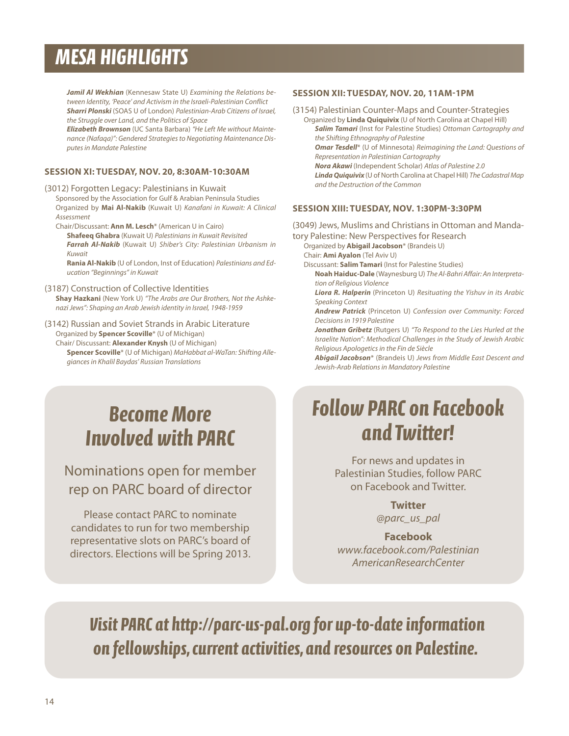## *MESA HIGHLIGHTS*

*Jamil Al Wekhian* (Kennesaw State U) *Examining the Relations between Identity, 'Peace' and Activism in the Israeli-Palestinian Conflict Sharri Plonski* (SOAS U of London) *Palestinian-Arab Citizens of Israel, the Struggle over Land, and the Politics of Space*

*Elizabeth Brownson* (UC Santa Barbara) *"He Left Me without Maintenance (Nafaqa)": Gendered Strategiesto Negotiating Maintenance Disputesin Mandate Palestine*

#### **SESSION XI: TUESDAy, NOV. 20, 8:30AM-10:30AM**

- (3012) Forgotten Legacy: Palestinians in Kuwait Sponsored by the Association for Gulf & Arabian Peninsula Studies Organized by **Mai Al-Nakib** (Kuwait U) *Kanafani in Kuwait: A Clinical Assessment*
	- Chair/Discussant: **Ann M. lesch**\* (American U in Cairo) **Shafeeq Ghabra** (Kuwait U) *Palestiniansin Kuwait Revisited Farrah Al-Nakib* (Kuwait U) *Shiber's City: Palestinian Urbanism in Kuwait*

**Rania Al-Nakib** (U of London, Inst of Education) *Palestinians and Education "Beginnings" in Kuwait*

(3187) Construction of Collective Identities **Shay Hazkani** (New York U) *"The Arabs are Our Brothers, Not the Ashkenazi Jews": Shaping an Arab Jewish identity in Israel, 1948-1959*

### (3142) Russian and Soviet Strands in Arabic Literature

Organized by **Spencer Scoville**\* (U of Michigan) Chair/ Discussant: **Alexander Knysh** (U of Michigan)

**Spencer Scoville**\* (U of Michigan) *MaHabbat al-WaTan: Shifting Allegiancesin Khalil Baydas' Russian Translations*

#### **SESSION XII: TUESDAy, NOV. 20, 11AM-1PM**

(3154) Palestinian Counter-Maps and Counter-Strategies

Organized by **linda Quiquivix** (U of North Carolina at Chapel Hill) *Salim Tamari* (Inst for Palestine Studies) *Ottoman Cartography and the Shifting Ethnography of Palestine Omar Tesdell*\* (U of Minnesota) *Reimagining the Land: Questions of Representation in Palestinian Cartography Nora Akawi* (Independent Scholar) *Atlas of Palestine 2.0 Linda Quiquivix* (U of North Carolina at Chapel Hill) *The CadastralMap and the Destruction of the Common*

#### **SESSION XIII: TUESDAy, NOV. 1:30PM-3:30PM**

(3049) Jews, Muslims and Christians in Ottoman and Mandatory Palestine: New Perspectives for Research Organized by **Abigail Jacobson**\* (Brandeis U) Chair: **Ami Ayalon** (Tel Aviv U) Discussant: **Salim Tamari** (Inst for Palestine Studies) **NoahHaiduc-Dale** (Waynesburg U) *The Al-Bahri Affair: An Interpretation of Religious Violence Liora R. Halperin* (Princeton U) *Resituating the Yishuv in its Arabic Speaking Context Andrew Patrick* (Princeton U) *Confession over Community: Forced Decisionsin 1919 Palestine Jonathan Gribetz* (Rutgers U) *"To Respond to the Lies Hurled at the Israelite Nation": Methodical Challenges in the Study of Jewish Arabic Religious Apologeticsin the Fin de Siècle Abigail Jacobson*\* (Brandeis U) *Jews from Middle East Descent and*

## *BecomeMore Involvedwith PARC*

### Nominations open for member rep on PARC board of director

Please contact PARC to nominate candidates to run for two membership representative slots on PARC's board of directors. Elections will be Spring 2013.

## *FollowPARC on Facebook and Twitter!*

*Jewish-Arab Relationsin Mandatory Palestine*

For news and updates in Palestinian Studies, follow PARC on Facebook and Twitter.

### **Twitter**

*@parc\_us\_pal*

#### **Facebook** *www.facebook.com/Palestinian*

*AmericanResearchCenter*

*Visit PARC at http://parc-us-pal.org for up-to-dateinformation on fellowships,current activities,and resources on Palestine.*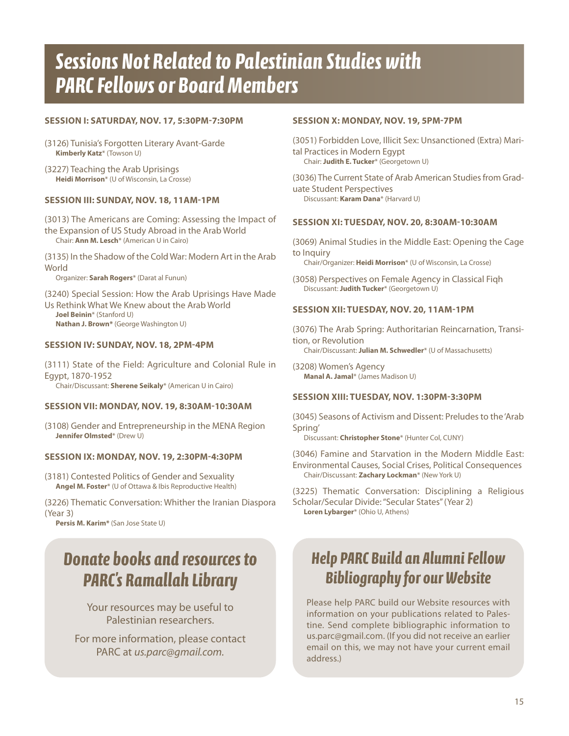## *Sessions Not Related to Palestinian Studieswith* **PARC Fellows or Board Members**

#### **SESSION I: SATURDAy, NOV. 17, 5:30PM-7:30PM**

- (3126) Tunisia's Forgotten Literary Avant-Garde **Kimberly Katz**\* (Towson U)
- (3227) Teaching the Arab Uprisings **Heidi Morrison**\* (U of Wisconsin, La Crosse)

#### **SESSION III: SUNDAy, NOV. 18, 11AM-1PM**

(3013) The Americans are Coming: Assessing the Impact of the Expansion of US Study Abroad in the Arab World Chair: **Ann M. lesch**\* (American U in Cairo)

(3135) In the Shadow of the ColdWar: Modern Art in the Arab **World** 

Organizer: **Sarah Rogers**\* (Darat al Funun)

(3240) Special Session: How the Arab Uprisings Have Made Us Rethink What We Knew about the Arab World **Joel Beinin**\* (Stanford U) **Nathan J. Brown\*** (George Washington U)

#### **SESSION IV: SUNDAy, NOV. 18, 2PM-4PM**

(3111) State of the Field: Agriculture and Colonial Rule in Egypt, 1870-1952 Chair/Discussant: **Sherene Seikaly**\* (American U in Cairo)

#### **SESSION VII: MONDAy, NOV. 19, 8:30AM-10:30AM**

(3108) Gender and Entrepreneurship in the MENA Region **Jennifer Olmsted**\* (Drew U)

#### **SESSION IX: MONDAy, NOV. 19, 2:30PM-4:30PM**

(3181) Contested Politics of Gender and Sexuality **Angel M. Foster**\* (U of Ottawa & Ibis Reproductive Health)

(3226) Thematic Conversation: Whither the Iranian Diaspora (Year 3)

**Persis M. Karim\*** (San Jose State U)

### *Donate books and resources to PARC's Ramallah Library*

Your resources may be useful to Palestinian researchers.

For more information, please contact PARC at *us.parc@gmail.com.*

#### **SESSION X: MONDAy, NOV. 19, 5PM-7PM**

(3051) Forbidden Love, Illicit Sex: Unsanctioned (Extra) Marital Practices in Modern Egypt Chair: **Judith E. Tucker**\* (Georgetown U)

(3036) The Current State of Arab American Studies from Graduate Student Perspectives Discussant: **Karam Dana**\* (Harvard U)

#### **SESSION XI: TUESDAy, NOV. 20, 8:30AM-10:30AM**

(3069) Animal Studies in the Middle East: Opening the Cage to Inquiry Chair/Organizer: **Heidi Morrison**\* (U of Wisconsin, La Crosse)

(3058) Perspectives on Female Agency in Classical Fiqh Discussant: **Judith Tucker**\* (Georgetown U)

#### **SESSION XII: TUESDAy, NOV. 20, 11AM-1PM**

(3076) The Arab Spring: Authoritarian Reincarnation, Transition, or Revolution Chair/Discussant: **Julian M. Schwedler**\* (U of Massachusetts)

(3208) Women's Agency **Manal A. Jamal**\* (James Madison U)

#### **SESSION XIII: TUESDAy, NOV. 1:30PM-3:30PM**

(3045) Seasons of Activism and Dissent: Preludes to the 'Arab Spring'

Discussant: **Christopher Stone**\* (Hunter Col, CUNY)

(3046) Famine and Starvation in the Modern Middle East: Environmental Causes, Social Crises, Political Consequences Chair/Discussant: **Zachary lockman**\* (New York U)

(3225) Thematic Conversation: Disciplining a Religious Scholar/Secular Divide:"Secular States"(Year 2) **loren lybarger**\* (Ohio U, Athens)

### *Help PARC Build an AlumniFellow Bibliography for our Website*

Please help PARC build our Website resources with information on your publications related to Palestine. Send complete bibliographic information to us.parc@gmail.com. (If you did not receive an earlier email on this, we may not have your current email address.)